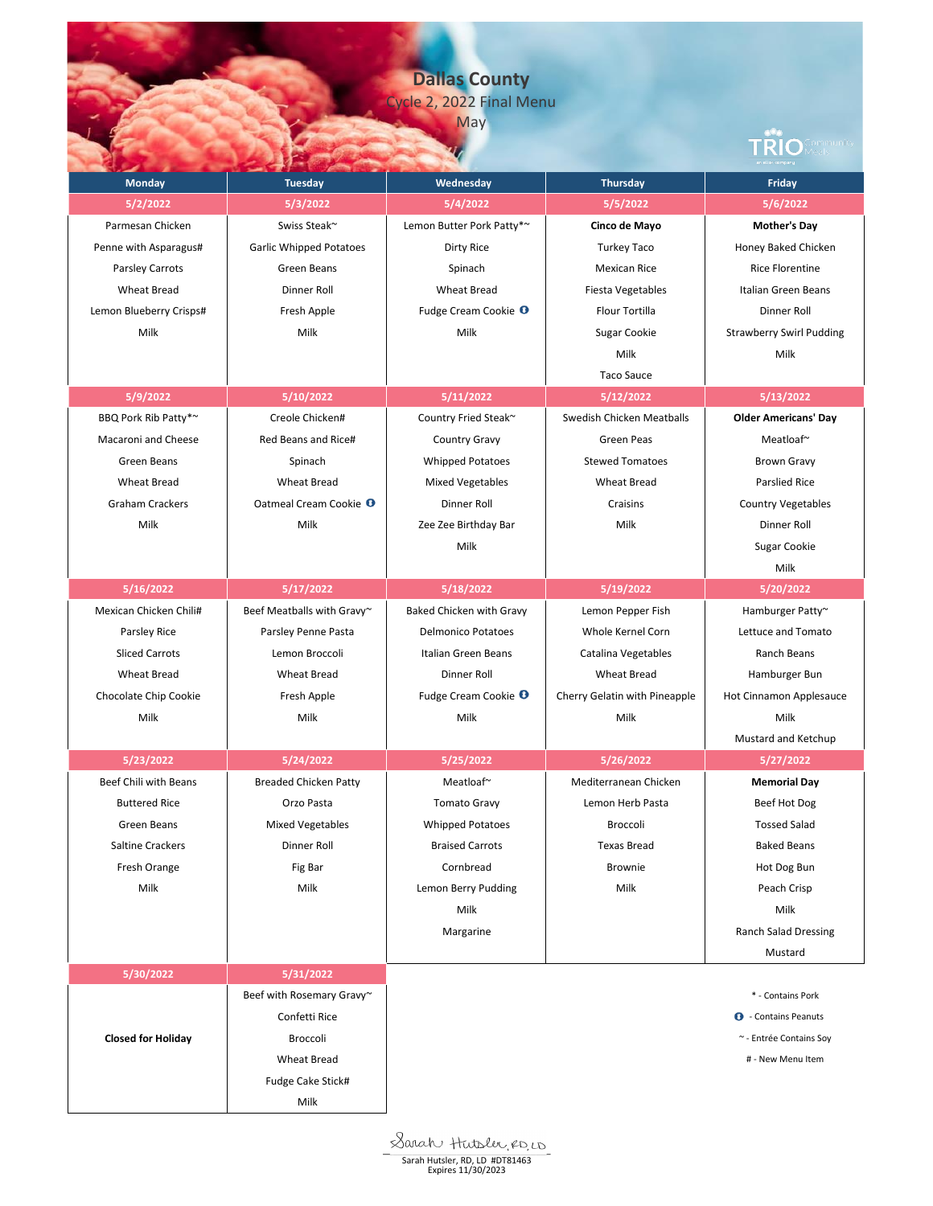**Dallas County** Cycle 2, 2022 Final Menu

May

|                           |                                   | <b>IVICIY</b>                   |                               | Com <mark>munit</mark> y        |
|---------------------------|-----------------------------------|---------------------------------|-------------------------------|---------------------------------|
| <b>Monday</b>             | <b>Tuesday</b>                    | Wednesday                       | <b>Thursday</b>               | <b>Friday</b>                   |
| 5/2/2022                  | 5/3/2022                          | 5/4/2022                        | 5/5/2022                      | 5/6/2022                        |
| Parmesan Chicken          | Swiss Steak~                      | Lemon Butter Pork Patty*~       | Cinco de Mayo                 | <b>Mother's Day</b>             |
| Penne with Asparagus#     | <b>Garlic Whipped Potatoes</b>    | Dirty Rice                      | <b>Turkey Taco</b>            | Honey Baked Chicken             |
| Parsley Carrots           | Green Beans                       | Spinach                         | <b>Mexican Rice</b>           | <b>Rice Florentine</b>          |
| <b>Wheat Bread</b>        | Dinner Roll                       | <b>Wheat Bread</b>              | Fiesta Vegetables             | <b>Italian Green Beans</b>      |
| Lemon Blueberry Crisps#   | Fresh Apple                       | Fudge Cream Cookie <sup>O</sup> | Flour Tortilla                | Dinner Roll                     |
| Milk                      | Milk                              | Milk                            | Sugar Cookie                  | <b>Strawberry Swirl Pudding</b> |
|                           |                                   |                                 | Milk                          | Milk                            |
|                           |                                   |                                 | <b>Taco Sauce</b>             |                                 |
| 5/9/2022                  | 5/10/2022                         | 5/11/2022                       | 5/12/2022                     | 5/13/2022                       |
| BBQ Pork Rib Patty*~      | Creole Chicken#                   | Country Fried Steak~            | Swedish Chicken Meatballs     | <b>Older Americans' Day</b>     |
| Macaroni and Cheese       | Red Beans and Rice#               | Country Gravy                   | Green Peas                    | Meatloaf~                       |
| Green Beans               | Spinach                           | <b>Whipped Potatoes</b>         | <b>Stewed Tomatoes</b>        | <b>Brown Gravy</b>              |
| <b>Wheat Bread</b>        | <b>Wheat Bread</b>                | <b>Mixed Vegetables</b>         | <b>Wheat Bread</b>            | <b>Parslied Rice</b>            |
| <b>Graham Crackers</b>    | Oatmeal Cream Cookie <sup>O</sup> | Dinner Roll                     | Craisins                      | <b>Country Vegetables</b>       |
| Milk                      | Milk                              | Zee Zee Birthday Bar            | Milk                          | Dinner Roll                     |
|                           |                                   | Milk                            |                               | Sugar Cookie                    |
|                           |                                   |                                 |                               | Milk                            |
| 5/16/2022                 | 5/17/2022                         | 5/18/2022                       | 5/19/2022                     | 5/20/2022                       |
| Mexican Chicken Chili#    | Beef Meatballs with Gravy~        | Baked Chicken with Gravy        | Lemon Pepper Fish             | Hamburger Patty~                |
| Parsley Rice              | Parsley Penne Pasta               | <b>Delmonico Potatoes</b>       | Whole Kernel Corn             | Lettuce and Tomato              |
| <b>Sliced Carrots</b>     | Lemon Broccoli                    | Italian Green Beans             | Catalina Vegetables           | Ranch Beans                     |
| <b>Wheat Bread</b>        | <b>Wheat Bread</b>                | Dinner Roll                     | <b>Wheat Bread</b>            | Hamburger Bun                   |
| Chocolate Chip Cookie     | Fresh Apple                       | Fudge Cream Cookie <sup>O</sup> | Cherry Gelatin with Pineapple | Hot Cinnamon Applesauce         |
| Milk                      | Milk                              | Milk                            | Milk                          | Milk                            |
|                           |                                   |                                 |                               | Mustard and Ketchup             |
| 5/23/2022                 | 5/24/2022                         | 5/25/2022                       | 5/26/2022                     | 5/27/2022                       |
| Beef Chili with Beans     | <b>Breaded Chicken Patty</b>      | Meatloaf~                       | Mediterranean Chicken         | <b>Memorial Day</b>             |
| <b>Buttered Rice</b>      | Orzo Pasta                        | <b>Tomato Gravy</b>             | Lemon Herb Pasta              | Beef Hot Dog                    |
| Green Beans               | <b>Mixed Vegetables</b>           | <b>Whipped Potatoes</b>         | Broccoli                      | <b>Tossed Salad</b>             |
| <b>Saltine Crackers</b>   | Dinner Roll                       | <b>Braised Carrots</b>          | <b>Texas Bread</b>            | <b>Baked Beans</b>              |
| Fresh Orange              | Fig Bar                           | Cornbread                       | Brownie                       | Hot Dog Bun                     |
| Milk                      | Milk                              | Lemon Berry Pudding             | Milk                          | Peach Crisp                     |
|                           |                                   | Milk                            |                               | Milk                            |
|                           |                                   | Margarine                       |                               | <b>Ranch Salad Dressing</b>     |
|                           |                                   |                                 |                               | Mustard                         |
| 5/30/2022                 | 5/31/2022                         |                                 |                               |                                 |
|                           | Beef with Rosemary Gravy~         |                                 |                               | * - Contains Pork               |
|                           | Confetti Rice                     |                                 |                               | <b>O</b> - Contains Peanuts     |
| <b>Closed for Holiday</b> | Broccoli                          |                                 |                               | ~ - Entrée Contains Soy         |
|                           | <b>Wheat Bread</b>                |                                 |                               | # - New Menu Item               |
|                           | Fudge Cake Stick#                 |                                 |                               |                                 |
|                           | Milk                              |                                 |                               |                                 |

Sarah Hutsler, RD, LD #DT81463<br>
Expires 11/30/2023